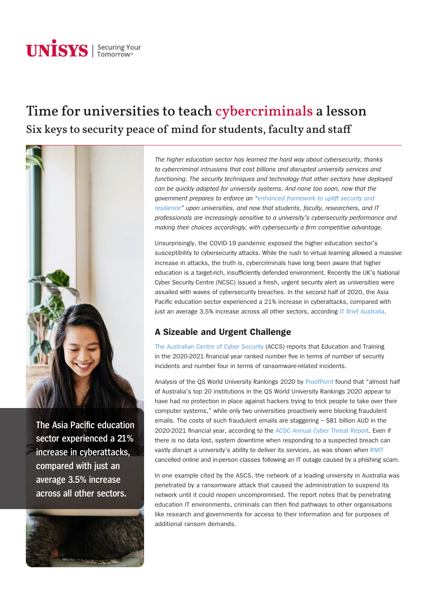# **UNISYS** | Securing Your

## Time for universities to teach cybercriminals a lesson Six keys to security peace of mind for students, faculty and staff



**The Asia Pacific education sector experienced a 21% increase in cyberattacks, compared with just an average 3.5% increase across all other sectors.** 

*The higher education sector has learned the hard way about cybersecurity, thanks to cybercriminal intrusions that cost billions and disrupted university services and functioning. The security techniques and technology that other sectors have deployed can be quickly adapted for university systems. And none too soon, now that the government prepares to enforce an "[enhanced framework to uplift security and](https://www.zdnet.com/article/university-hacks-as-a-justification-to-include-the-sector-in-critical-infrastructure-bill/)  [resilience"](https://www.zdnet.com/article/university-hacks-as-a-justification-to-include-the-sector-in-critical-infrastructure-bill/) upon universities, and now that students, faculty, researchers, and IT professionals are increasingly sensitive to a university's cybersecurity performance and making their choices accordingly, with cybersecurity a firm competitive advantage.*

Unsurprisingly, the COVID-19 pandemic exposed the higher education sector's susceptibility to cybersecurity attacks. While the rush to virtual learning allowed a massive increase in attacks, the truth is, cybercriminals have long been aware that higher education is a target-rich, insufficiently defended environment. Recently the UK's National Cyber Security Centre (NCSC) issued a fresh, urgent security alert as universities were assailed with waves of cybersecurity breaches. In the second half of 2020, the Asia Pacific education sector experienced a 21% increase in cyberattacks, compared with just an average 3.5% increase across all other sectors, according [IT Brief Australia](https://itbrief.com.au/story/universities-turn-to-privileged-access-management-as-they-adopt-essential-eight-cybersecurity-strategies).

### **A Sizeable and Urgent Challenge**

[The Australian Centre of Cyber Security](https://www.cyber.gov.au/sites/default/files/2021-09/ACSC Annual Cyber Threat Report - 2020-2021.pdf) (ACCS) reports that Education and Training in the 2020-2021 financial year ranked number five in terms of number of security incidents and number four in terms of ransomware-related incidents.

Analysis of the QS World University Rankings 2020 by [ProofPoint](https://www.proofpoint.com/au/blog/email-and-cloud-threats/australian-university-students-and-faculty-face-increased-email-fraud) found that "almost half of Australia's top 20 institutions in the QS World University Rankings 2020 appear to have had no protection in place against hackers trying to trick people to take over their computer systems," while only two universities proactively were blocking fraudulent emails. The costs of such fraudulent emails are staggering – \$81 billion AUD in the 2020-2021 financial year, according to the [ACSC Annual Cyber Threat Report.](https://www.cyber.gov.au/sites/default/files/2021-09/ACSC Annual Cyber Threat Report - 2020-2021.pdf) Even if there is no data lost, system downtime when responding to a suspected breach can vastly disrupt a university's ability to deliver its services, as was shown when [RMIT](https://www.itnews.com.au/news/rmit-cancels-classes-after-it-outage-561264) cancelled online and in-person classes following an IT outage caused by a phishing scam.

In one example cited by the ASCS, the network of a leading university in Australia was penetrated by a ransomware attack that caused the administration to suspend its network until it could reopen uncompromised. The report notes that by penetrating education IT environments, criminals can then find pathways to other organisations like research and governments for access to their information and for purposes of additional ransom demands.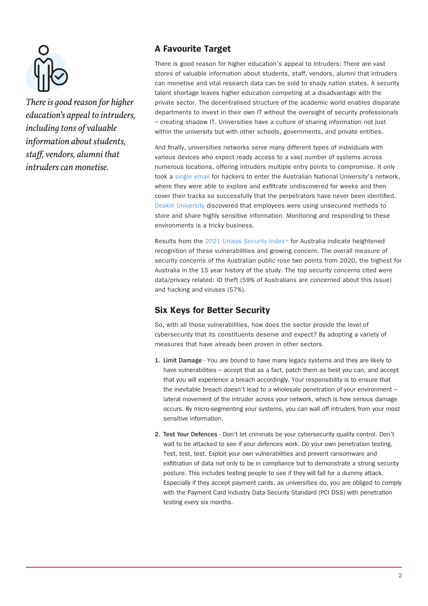

*There is good reason for higher education's appeal to intruders, including tons of valuable information about students, staff, vendors, alumni that intruders can monetise.* 

#### **A Favourite Target**

There is good reason for higher education's appeal to intruders: There are vast stores of valuable information about students, staff, vendors, alumni that intruders can monetise and vital research data can be sold to shady nation states. A security talent shortage leaves higher education competing at a disadvantage with the private sector. The decentralised structure of the academic world enables disparate departments to invest in their own IT without the oversight of security professionals – creating shadow IT. Universities have a culture of sharing information not just within the university but with other schools, governments, and private entities.

And finally, universities networks serve many different types of individuals with various devices who expect ready access to a vast number of systems across numerous locations, offering intruders multiple entry points to compromise. It only took a [single email](https://www.abc.net.au/news/2019-10-02/the-sophisticated-anu-hack-that-compromised-private-details/11566540) for hackers to enter the Australian National University's network, where they were able to explore and exfiltrate undiscovered for weeks and then cover their tracks so successfully that the perpetrators have never been identified. [Deakin University](https://www.intelligentciso.com/2021/07/27/deakin-university-chooses-logmein-to-safeguard-network/) discovered that employees were using unsecured methods to store and share highly sensitive information. Monitoring and responding to these environments is a tricky business.

Results from the [2021](https://www.unisys.com/unisys-security-index) [Unisys Security Index](https://www.unisys.com/unisys-security-index)™ for Australia indicate heightened recognition of these vulnerabilities and growing concern. The overall measure of security concerns of the Australian public rose two points from 2020, the highest for Australia in the 15 year history of the study. The top security concerns cited were data/privacy related: ID theft (59% of Australians are concerned about this issue) and hacking and viruses (57%).

#### **Six Keys for Better Security**

So, with all those vulnerabilities, how does the sector provide the level of cybersecurity that its constituents deserve and expect? By adopting a variety of measures that have already been proven in other sectors.

- **1. Limit Damage**  You are bound to have many legacy systems and they are likely to have vulnerabilities – accept that as a fact, patch them as best you can, and accept that you will experience a breach accordingly. Your responsibility is to ensure that the inevitable breach doesn't lead to a wholesale penetration of your environment – lateral movement of the intruder across your network, which is how serious damage occurs. By micro-segmenting your systems, you can wall off intruders from your most sensitive information.
- **2. Test Your Defences** Don't let criminals be your cybersecurity quality control. Don't wait to be attacked to see if your defences work. Do your own penetration testing. Test, test, test. Exploit your own vulnerabilities and prevent ransomware and exfiltration of data not only to be in compliance but to demonstrate a strong security posture. This includes testing people to see if they will fall for a dummy attack. Especially if they accept payment cards, as universities do, you are obliged to comply with the Payment Card Industry Data Security Standard (PCI DSS) with penetration testing every six months.